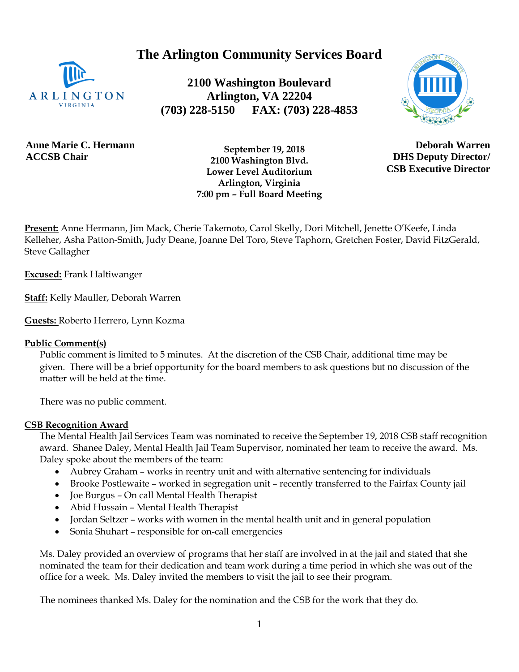**The Arlington Community Services Board**



**2100 Washington Boulevard Arlington, VA 22204 (703) 228-5150 FAX: (703) 228-4853**



**Anne Marie C. Hermann ACCSB Chair**

 **September 19, 2018 2100 Washington Blvd. Lower Level Auditorium Arlington, Virginia 7:00 pm – Full Board Meeting**

**Deborah Warren DHS Deputy Director/ CSB Executive Director**

**Present:** Anne Hermann, Jim Mack, Cherie Takemoto, Carol Skelly, Dori Mitchell, Jenette O'Keefe, Linda Kelleher, Asha Patton-Smith, Judy Deane, Joanne Del Toro, Steve Taphorn, Gretchen Foster, David FitzGerald, Steve Gallagher

**Excused:** Frank Haltiwanger

**Staff:** Kelly Mauller, Deborah Warren

**Guests:** Roberto Herrero, Lynn Kozma

#### **Public Comment(s)**

Public comment is limited to 5 minutes. At the discretion of the CSB Chair, additional time may be given. There will be a brief opportunity for the board members to ask questions [but](http://but.no/) no discussion of the matter will be held at the time.

There was no public comment.

#### **CSB Recognition Award**

The Mental Health Jail Services Team was nominated to receive the September 19, 2018 CSB staff recognition award. Shanee Daley, Mental Health Jail Team Supervisor, nominated her team to receive the award. Ms. Daley spoke about the members of the team:

- Aubrey Graham works in reentry unit and with alternative sentencing for individuals
- Brooke Postlewaite worked in segregation unit recently transferred to the Fairfax County jail
- Joe Burgus On call Mental Health Therapist
- Abid Hussain Mental Health Therapist
- Jordan Seltzer works with women in the mental health unit and in general population
- Sonia Shuhart responsible for on-call emergencies

Ms. Daley provided an overview of programs that her staff are involved in at the jail and stated that she nominated the team for their dedication and team work during a time period in which she was out of the office for a week. Ms. Daley invited the members to visit the jail to see their program.

The nominees thanked Ms. Daley for the nomination and the CSB for the work that they do.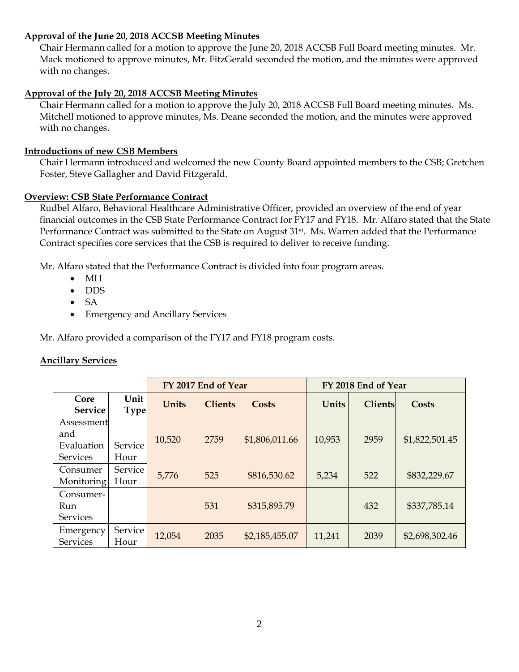## **Approval of the June 20, 2018 ACCSB Meeting Minutes**

Chair Hermann called for a motion to approve the June 20, 2018 ACCSB Full Board meeting minutes. Mr. Mack motioned to approve minutes, Mr. FitzGerald seconded the motion, and the minutes were approved with no changes.

## **Approval of the July 20, 2018 ACCSB Meeting Minutes**

Chair Hermann called for a motion to approve the July 20, 2018 ACCSB Full Board meeting minutes. Ms. Mitchell motioned to approve minutes, Ms. Deane seconded the motion, and the minutes were approved with no changes.

## **Introductions of new CSB Members**

Chair Hermann introduced and welcomed the new County Board appointed members to the CSB; Gretchen Foster, Steve Gallagher and David Fitzgerald.

## **Overview: CSB State Performance Contract**

Rudbel Alfaro, Behavioral Healthcare Administrative Officer, provided an overview of the end of year financial outcomes in the CSB State Performance Contract for FY17 and FY18. Mr. Alfaro stated that the State Performance Contract was submitted to the State on August 31<sup>st</sup>. Ms. Warren added that the Performance Contract specifies core services that the CSB is required to deliver to receive funding.

Mr. Alfaro stated that the Performance Contract is divided into four program areas.

- MH
- DDS
- SA
- Emergency and Ancillary Services

Mr. Alfaro provided a comparison of the FY17 and FY18 program costs.

## **Ancillary Services**

|                                                    |                     |              | FY 2017 End of Year |                | FY 2018 End of Year |                |                |  |
|----------------------------------------------------|---------------------|--------------|---------------------|----------------|---------------------|----------------|----------------|--|
| Core<br><b>Service</b>                             | Unit<br><b>Type</b> | <b>Units</b> | <b>Clients</b>      | Costs          | Units               | <b>Clients</b> | <b>Costs</b>   |  |
| Assessment<br>and<br>Evaluation<br><b>Services</b> | Service<br>Hour     | 10,520       | 2759                | \$1,806,011.66 | 10,953              | 2959           | \$1,822,501.45 |  |
| Consumer<br>Monitoring                             | Service<br>Hour     | 5,776        | 525                 | \$816,530.62   | 5,234               | 522            | \$832,229.67   |  |
| Consumer-<br>Run<br><b>Services</b>                |                     |              | 531                 | \$315,895.79   |                     | 432            | \$337,785.14   |  |
| Emergency<br><b>Services</b>                       | Service<br>Hour     | 12,054       | 2035                | \$2,185,455.07 | 11,241              | 2039           | \$2,698,302.46 |  |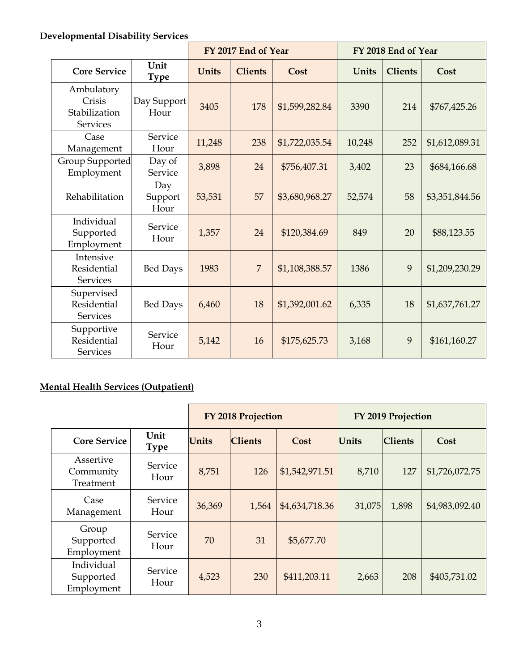# **Developmental Disability Services**

|                                                   | FY 2017 End of Year    |              |                | FY 2018 End of Year |        |                |                |
|---------------------------------------------------|------------------------|--------------|----------------|---------------------|--------|----------------|----------------|
| <b>Core Service</b>                               | Unit<br><b>Type</b>    | <b>Units</b> | <b>Clients</b> | Cost                | Units  | <b>Clients</b> | Cost           |
| Ambulatory<br>Crisis<br>Stabilization<br>Services | Day Support<br>Hour    | 3405         | 178            | \$1,599,282.84      | 3390   | 214            | \$767,425.26   |
| Case<br>Management                                | Service<br>Hour        | 11,248       | 238            | \$1,722,035.54      | 10,248 | 252            | \$1,612,089.31 |
| Group Supported<br>Employment                     | Day of<br>Service      | 3,898        | 24             | \$756,407.31        | 3,402  | 23             | \$684,166.68   |
| Rehabilitation                                    | Day<br>Support<br>Hour | 53,531       | 57             | \$3,680,968.27      | 52,574 | 58             | \$3,351,844.56 |
| Individual<br>Supported<br>Employment             | Service<br>Hour        | 1,357        | 24             | \$120,384.69        | 849    | 20             | \$88,123.55    |
| Intensive<br>Residential<br><b>Services</b>       | <b>Bed Days</b>        | 1983         | $\overline{7}$ | \$1,108,388.57      | 1386   | 9              | \$1,209,230.29 |
| Supervised<br>Residential<br><b>Services</b>      | <b>Bed Days</b>        | 6,460        | 18             | \$1,392,001.62      | 6,335  | 18             | \$1,637,761.27 |
| Supportive<br>Residential<br><b>Services</b>      | Service<br>Hour        | 5,142        | 16             | \$175,625.73        | 3,168  | 9              | \$161,160.27   |

## **Mental Health Services (Outpatient)**

|                                       |                     |              | <b>FY 2018 Projection</b> |                | FY 2019 Projection |                |                |
|---------------------------------------|---------------------|--------------|---------------------------|----------------|--------------------|----------------|----------------|
| <b>Core Service</b>                   | Unit<br><b>Type</b> | <b>Units</b> | <b>Clients</b>            | Cost           | Units              | <b>Clients</b> | Cost           |
| Assertive<br>Community<br>Treatment   | Service<br>Hour     | 8,751        | 126                       | \$1,542,971.51 | 8,710              | 127            | \$1,726,072.75 |
| Case<br>Management                    | Service<br>Hour     | 36,369       | 1,564                     | \$4,634,718.36 | 31,075             | 1,898          | \$4,983,092.40 |
| Group<br>Supported<br>Employment      | Service<br>Hour     | 70           | 31                        | \$5,677.70     |                    |                |                |
| Individual<br>Supported<br>Employment | Service<br>Hour     | 4,523        | 230                       | \$411,203.11   | 2,663              | 208            | \$405,731.02   |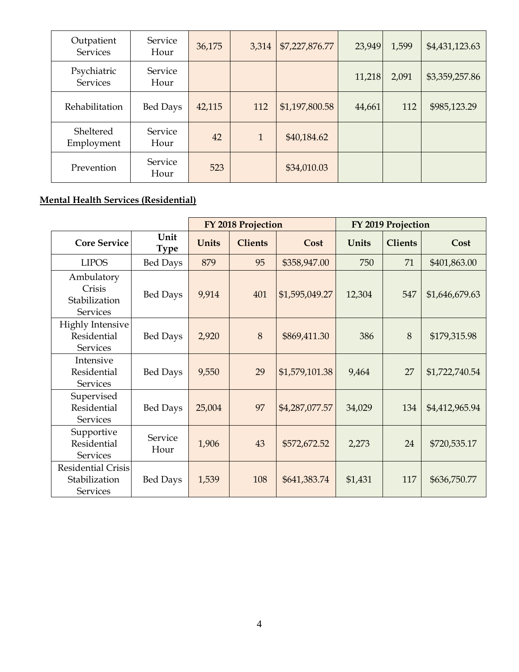| Outpatient<br><b>Services</b>  | Service<br>Hour        | 36,175 | 3,314        | \$7,227,876.77 | 23,949 | 1,599 | \$4,431,123.63 |
|--------------------------------|------------------------|--------|--------------|----------------|--------|-------|----------------|
| Psychiatric<br><b>Services</b> | <b>Service</b><br>Hour |        |              |                | 11,218 | 2,091 | \$3,359,257.86 |
| Rehabilitation                 | <b>Bed Days</b>        | 42,115 | 112          | \$1,197,800.58 | 44,661 | 112   | \$985,123.29   |
| Sheltered<br>Employment        | <b>Service</b><br>Hour | 42     | $\mathbf{1}$ | \$40,184.62    |        |       |                |
| Prevention                     | Service<br>Hour        | 523    |              | \$34,010.03    |        |       |                |

## **Mental Health Services (Residential)**

|                                                               |                     | FY 2018 Projection |                | FY 2019 Projection |         |                |                |
|---------------------------------------------------------------|---------------------|--------------------|----------------|--------------------|---------|----------------|----------------|
| <b>Core Service</b>                                           | Unit<br><b>Type</b> | <b>Units</b>       | <b>Clients</b> | Cost               | Units   | <b>Clients</b> | Cost           |
| <b>LIPOS</b>                                                  | <b>Bed Days</b>     | 879                | 95             | \$358,947.00       | 750     | 71             | \$401,863.00   |
| Ambulatory<br>Crisis<br>Stabilization<br><b>Services</b>      | <b>Bed Days</b>     | 9,914              | 401            | \$1,595,049.27     | 12,304  | 547            | \$1,646,679.63 |
| <b>Highly Intensive</b><br>Residential<br><b>Services</b>     | <b>Bed Days</b>     | 2,920              | 8              | \$869,411.30       | 386     | 8              | \$179,315.98   |
| Intensive<br>Residential<br><b>Services</b>                   | <b>Bed Days</b>     | 9,550              | 29             | \$1,579,101.38     | 9,464   | 27             | \$1,722,740.54 |
| Supervised<br>Residential<br><b>Services</b>                  | <b>Bed Days</b>     | 25,004             | 97             | \$4,287,077.57     | 34,029  | 134            | \$4,412,965.94 |
| Supportive<br>Residential<br><b>Services</b>                  | Service<br>Hour     | 1,906              | 43             | \$572,672.52       | 2,273   | 24             | \$720,535.17   |
| <b>Residential Crisis</b><br>Stabilization<br><b>Services</b> | <b>Bed Days</b>     | 1,539              | 108            | \$641,383.74       | \$1,431 | 117            | \$636,750.77   |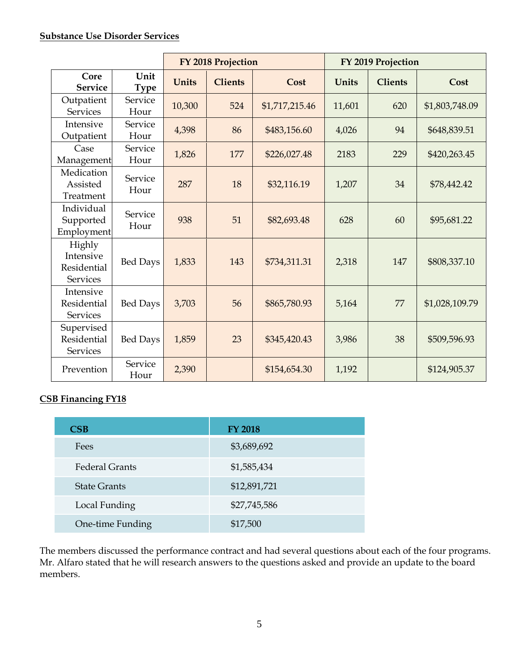## **Substance Use Disorder Services**

|                                                       |                     |              | FY 2018 Projection |                | FY 2019 Projection |                |                |  |
|-------------------------------------------------------|---------------------|--------------|--------------------|----------------|--------------------|----------------|----------------|--|
| Core<br><b>Service</b>                                | Unit<br><b>Type</b> | <b>Units</b> | <b>Clients</b>     | Cost           | <b>Units</b>       | <b>Clients</b> | Cost           |  |
| Outpatient<br><b>Services</b>                         | Service<br>Hour     | 10,300       | 524                | \$1,717,215.46 | 11,601             | 620            | \$1,803,748.09 |  |
| Intensive<br>Outpatient                               | Service<br>Hour     | 4,398        | 86                 | \$483,156.60   | 4,026              | 94             | \$648,839.51   |  |
| Case<br>Management                                    | Service<br>Hour     | 1,826        | 177                | \$226,027.48   | 2183               | 229            | \$420,263.45   |  |
| Medication<br>Assisted<br>Treatment                   | Service<br>Hour     | 287          | 18                 | \$32,116.19    | 1,207              | 34             | \$78,442.42    |  |
| Individual<br>Supported<br>Employment                 | Service<br>Hour     | 938          | 51                 | \$82,693.48    | 628                | 60             | \$95,681.22    |  |
| Highly<br>Intensive<br>Residential<br><b>Services</b> | <b>Bed Days</b>     | 1,833        | 143                | \$734,311.31   | 2,318              | 147            | \$808,337.10   |  |
| Intensive<br>Residential<br><b>Services</b>           | <b>Bed Days</b>     | 3,703        | 56                 | \$865,780.93   | 5,164              | 77             | \$1,028,109.79 |  |
| Supervised<br>Residential<br><b>Services</b>          | <b>Bed Days</b>     | 1,859        | 23                 | \$345,420.43   | 3,986              | 38             | \$509,596.93   |  |
| Prevention                                            | Service<br>Hour     | 2,390        |                    | \$154,654.30   | 1,192              |                | \$124,905.37   |  |

## **CSB Financing FY18**

| $\overline{\text{CB}}$ | <b>FY 2018</b> |
|------------------------|----------------|
| Fees                   | \$3,689,692    |
| <b>Federal Grants</b>  | \$1,585,434    |
| <b>State Grants</b>    | \$12,891,721   |
| Local Funding          | \$27,745,586   |
| One-time Funding       | \$17,500       |

The members discussed the performance contract and had several questions about each of the four programs. Mr. Alfaro stated that he will research answers to the questions asked and provide an update to the board members.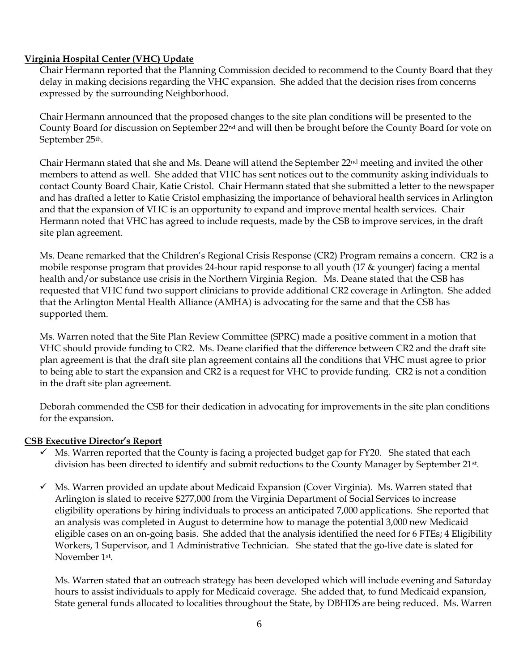## **Virginia Hospital Center (VHC) Update**

Chair Hermann reported that the Planning Commission decided to recommend to the County Board that they delay in making decisions regarding the VHC expansion. She added that the decision rises from concerns expressed by the surrounding Neighborhood.

Chair Hermann announced that the proposed changes to the site plan conditions will be presented to the County Board for discussion on September 22nd and will then be brought before the County Board for vote on September 25th.

Chair Hermann stated that she and Ms. Deane will attend the September 22nd meeting and invited the other members to attend as well. She added that VHC has sent notices out to the community asking individuals to contact County Board Chair, Katie Cristol. Chair Hermann stated that she submitted a letter to the newspaper and has drafted a letter to Katie Cristol emphasizing the importance of behavioral health services in Arlington and that the expansion of VHC is an opportunity to expand and improve mental health services. Chair Hermann noted that VHC has agreed to include requests, made by the CSB to improve services, in the draft site plan agreement.

Ms. Deane remarked that the Children's Regional Crisis Response (CR2) Program remains a concern. CR2 is a mobile response program that provides 24-hour rapid response to all youth (17 & younger) facing a mental health and/or substance use crisis in the Northern Virginia Region. Ms. Deane stated that the CSB has requested that VHC fund two support clinicians to provide additional CR2 coverage in Arlington. She added that the Arlington Mental Health Alliance (AMHA) is advocating for the same and that the CSB has supported them.

Ms. Warren noted that the Site Plan Review Committee (SPRC) made a positive comment in a motion that VHC should provide funding to CR2. Ms. Deane clarified that the difference between CR2 and the draft site plan agreement is that the draft site plan agreement contains all the conditions that VHC must agree to prior to being able to start the expansion and CR2 is a request for VHC to provide funding. CR2 is not a condition in the draft site plan agreement.

Deborah commended the CSB for their dedication in advocating for improvements in the site plan conditions for the expansion.

#### **CSB Executive Director's Report**

- $\checkmark$  Ms. Warren reported that the County is facing a projected budget gap for FY20. She stated that each division has been directed to identify and submit reductions to the County Manager by September 21<sup>st</sup>.
- $\checkmark$  Ms. Warren provided an update about Medicaid Expansion (Cover Virginia). Ms. Warren stated that Arlington is slated to receive \$277,000 from the Virginia Department of Social Services to increase eligibility operations by hiring individuals to process an anticipated 7,000 applications. She reported that an analysis was completed in August to determine how to manage the potential 3,000 new Medicaid eligible cases on an on-going basis. She added that the analysis identified the need for 6 FTEs; 4 Eligibility Workers, 1 Supervisor, and 1 Administrative Technician. She stated that the go-live date is slated for November 1st .

Ms. Warren stated that an outreach strategy has been developed which will include evening and Saturday hours to assist individuals to apply for Medicaid coverage. She added that, to fund Medicaid expansion, State general funds allocated to localities throughout the State, by DBHDS are being reduced. Ms. Warren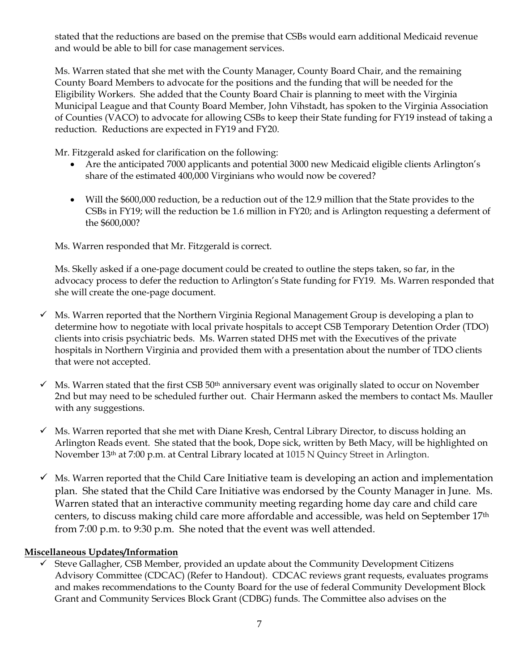stated that the reductions are based on the premise that CSBs would earn additional Medicaid revenue and would be able to bill for case management services.

Ms. Warren stated that she met with the County Manager, County Board Chair, and the remaining County Board Members to advocate for the positions and the funding that will be needed for the Eligibility Workers. She added that the County Board Chair is planning to meet with the Virginia Municipal League and that County Board Member, John Vihstadt, has spoken to the Virginia Association of Counties (VACO) to advocate for allowing CSBs to keep their State funding for FY19 instead of taking a reduction. Reductions are expected in FY19 and FY20.

Mr. Fitzgerald asked for clarification on the following:

- Are the anticipated 7000 applicants and potential 3000 new Medicaid eligible clients Arlington's share of the estimated 400,000 Virginians who would now be covered?
- Will the \$600,000 reduction, be a reduction out of the 12.9 million that the State provides to the CSBs in FY19; will the reduction be 1.6 million in FY20; and is Arlington requesting a deferment of the \$600,000?

Ms. Warren responded that Mr. Fitzgerald is correct.

Ms. Skelly asked if a one-page document could be created to outline the steps taken, so far, in the advocacy process to defer the reduction to Arlington's State funding for FY19. Ms. Warren responded that she will create the one-page document.

- $\checkmark$  Ms. Warren reported that the Northern Virginia Regional Management Group is developing a plan to determine how to negotiate with local private hospitals to accept CSB Temporary Detention Order (TDO) clients into crisis psychiatric beds. Ms. Warren stated DHS met with the Executives of the private hospitals in Northern Virginia and provided them with a presentation about the number of TDO clients that were not accepted.
- ✓ Ms. Warren stated that the first CSB 50th anniversary event was originally slated to occur on November 2nd but may need to be scheduled further out. Chair Hermann asked the members to contact Ms. Mauller with any suggestions.
- $\checkmark$  Ms. Warren reported that she met with Diane Kresh, Central Library Director, to discuss holding an Arlington Reads event. She stated that the book, Dope sick, written by Beth Macy, will be highlighted on November 13th at 7:00 p.m. at Central Library located at 1015 N Quincy Street in Arlington.
- $\checkmark$  Ms. Warren reported that the Child Care Initiative team is developing an action and implementation plan. She stated that the Child Care Initiative was endorsed by the County Manager in June. Ms. Warren stated that an interactive community meeting regarding home day care and child care centers, to discuss making child care more affordable and accessible, was held on September 17th from 7:00 p.m. to 9:30 p.m. She noted that the event was well attended.

## **Miscellaneous Updates/Information**

Steve Gallagher, CSB Member, provided an update about the Community Development Citizens Advisory Committee (CDCAC) (Refer to Handout). CDCAC reviews grant requests, evaluates programs and makes recommendations to the County Board for the use of federal Community Development Block Grant and Community Services Block Grant (CDBG) funds. The Committee also advises on the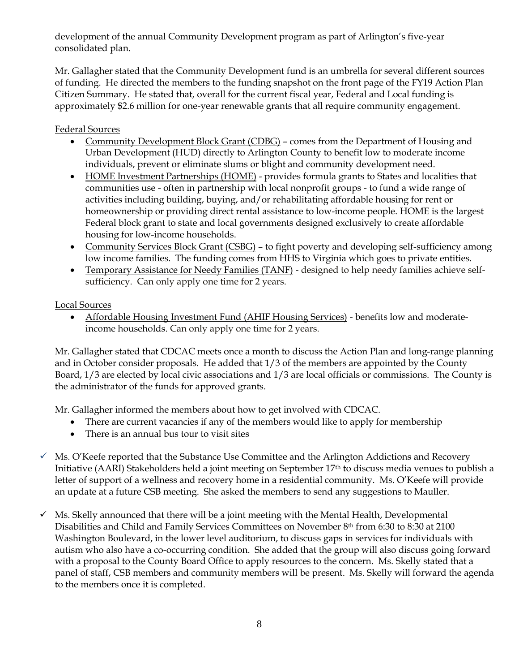development of the annual Community Development program as part of Arlington's five-year consolidated plan.

Mr. Gallagher stated that the Community Development fund is an umbrella for several different sources of funding. He directed the members to the funding snapshot on the front page of the FY19 Action Plan Citizen Summary. He stated that, overall for the current fiscal year, Federal and Local funding is approximately \$2.6 million for one-year renewable grants that all require community engagement.

## Federal Sources

- Community Development Block Grant (CDBG) comes from the Department of Housing and Urban Development (HUD) directly to Arlington County to benefit low to moderate income individuals, prevent or eliminate slums or blight and community development need.
- HOME Investment Partnerships (HOME) provides formula grants to States and localities that communities use - often in partnership with local nonprofit groups - to fund a wide range of activities including building, buying, and/or rehabilitating affordable housing for rent or homeownership or providing direct rental assistance to low-income people. HOME is the largest Federal block grant to state and local governments designed exclusively to create affordable housing for low-income households.
- Community Services Block Grant (CSBG) to fight poverty and developing self-sufficiency among low income families. The funding comes from HHS to Virginia which goes to private entities.
- Temporary Assistance for Needy Families (TANF) designed to help needy families achieve selfsufficiency. Can only apply one time for 2 years.

## Local Sources

• Affordable Housing Investment Fund (AHIF Housing Services) - benefits low and moderateincome households. Can only apply one time for 2 years.

Mr. Gallagher stated that CDCAC meets once a month to discuss the Action Plan and long-range planning and in October consider proposals. He added that 1/3 of the members are appointed by the County Board, 1/3 are elected by local civic associations and 1/3 are local officials or commissions. The County is the administrator of the funds for approved grants.

Mr. Gallagher informed the members about how to get involved with CDCAC.

- There are current vacancies if any of the members would like to apply for membership
- There is an annual bus tour to visit sites
- ✓ Ms. O'Keefe reported that the Substance Use Committee and the Arlington Addictions and Recovery Initiative (AARI) Stakeholders held a joint meeting on September 17th to discuss media venues to publish a letter of support of a wellness and recovery home in a residential community. Ms. O'Keefe will provide an update at a future CSB meeting. She asked the members to send any suggestions to Mauller.
- $\checkmark$  Ms. Skelly announced that there will be a joint meeting with the Mental Health, Developmental Disabilities and Child and Family Services Committees on November 8th from 6:30 to 8:30 at 2100 Washington Boulevard, in the lower level auditorium, to discuss gaps in services for individuals with autism who also have a co-occurring condition. She added that the group will also discuss going forward with a proposal to the County Board Office to apply resources to the concern. Ms. Skelly stated that a panel of staff, CSB members and community members will be present. Ms. Skelly will forward the agenda to the members once it is completed.